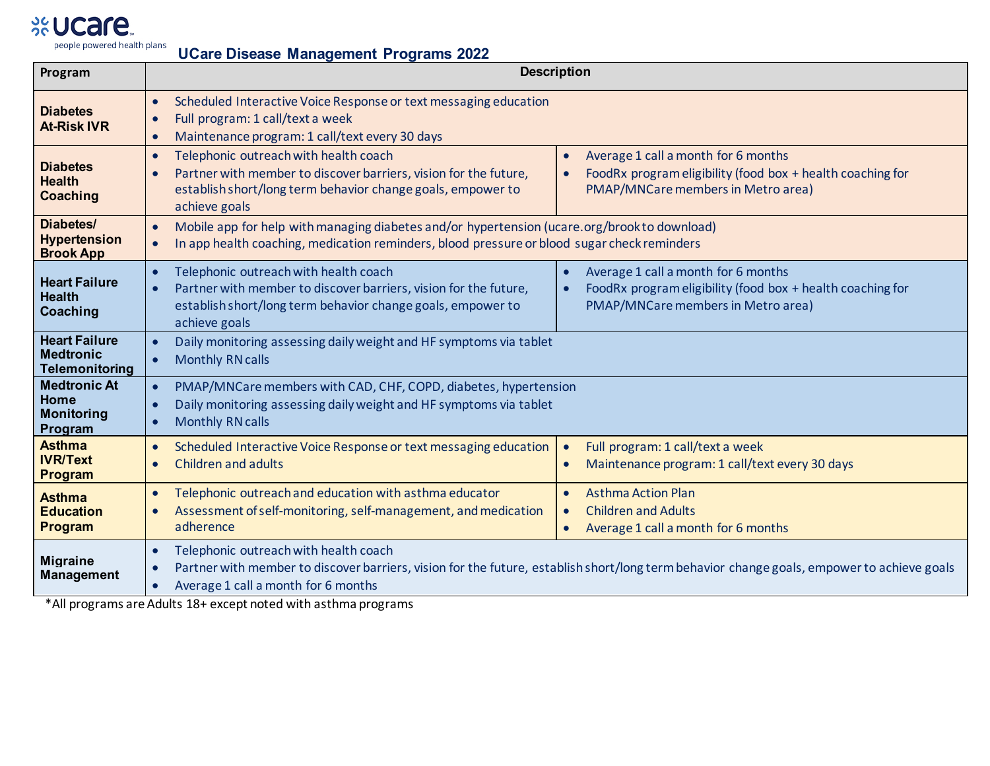## %Ucare.

| people powered health plans<br><b>UCare Disease Management Programs 2022</b> |                                                                                                                                                                                                                                                                                                                                                                             |  |  |  |  |  |  |  |  |  |
|------------------------------------------------------------------------------|-----------------------------------------------------------------------------------------------------------------------------------------------------------------------------------------------------------------------------------------------------------------------------------------------------------------------------------------------------------------------------|--|--|--|--|--|--|--|--|--|
| Program                                                                      | <b>Description</b>                                                                                                                                                                                                                                                                                                                                                          |  |  |  |  |  |  |  |  |  |
| <b>Diabetes</b><br><b>At-Risk IVR</b>                                        | Scheduled Interactive Voice Response or text messaging education<br>$\bullet$<br>Full program: 1 call/text a week<br>Maintenance program: 1 call/text every 30 days                                                                                                                                                                                                         |  |  |  |  |  |  |  |  |  |
| <b>Diabetes</b><br><b>Health</b><br><b>Coaching</b>                          | Telephonic outreach with health coach<br>Average 1 call a month for 6 months<br>$\bullet$<br>$\bullet$<br>Partner with member to discover barriers, vision for the future,<br>FoodRx program eligibility (food box + health coaching for<br>establish short/long term behavior change goals, empower to<br>PMAP/MNCare members in Metro area)<br>achieve goals              |  |  |  |  |  |  |  |  |  |
| Diabetes/<br><b>Hypertension</b><br><b>Brook App</b>                         | Mobile app for help with managing diabetes and/or hypertension (ucare.org/brook to download)<br>In app health coaching, medication reminders, blood pressure or blood sugar check reminders<br>$\bullet$                                                                                                                                                                    |  |  |  |  |  |  |  |  |  |
| <b>Heart Failure</b><br><b>Health</b><br>Coaching                            | Telephonic outreach with health coach<br>Average 1 call a month for 6 months<br>$\bullet$<br>Partner with member to discover barriers, vision for the future,<br>FoodRx program eligibility (food box + health coaching for<br>$\bullet$<br>$\bullet$<br>establish short/long term behavior change goals, empower to<br>PMAP/MNCare members in Metro area)<br>achieve goals |  |  |  |  |  |  |  |  |  |
| <b>Heart Failure</b><br><b>Medtronic</b><br><b>Telemonitoring</b>            | Daily monitoring assessing daily weight and HF symptoms via tablet<br>$\bullet$<br><b>Monthly RN calls</b>                                                                                                                                                                                                                                                                  |  |  |  |  |  |  |  |  |  |
| <b>Medtronic At</b><br><b>Home</b><br><b>Monitoring</b><br>Program           | PMAP/MNCare members with CAD, CHF, COPD, diabetes, hypertension<br>$\bullet$<br>Daily monitoring assessing daily weight and HF symptoms via tablet<br><b>Monthly RN calls</b>                                                                                                                                                                                               |  |  |  |  |  |  |  |  |  |
| <b>Asthma</b><br><b>IVR/Text</b><br><b>Program</b>                           | Scheduled Interactive Voice Response or text messaging education<br>Full program: 1 call/text a week<br>$\bullet$<br>Children and adults<br>Maintenance program: 1 call/text every 30 days<br>$\bullet$                                                                                                                                                                     |  |  |  |  |  |  |  |  |  |
| <b>Asthma</b><br><b>Education</b><br><b>Program</b>                          | Telephonic outreach and education with asthma educator<br><b>Asthma Action Plan</b><br>$\bullet$<br>$\bullet$<br>Assessment of self-monitoring, self-management, and medication<br><b>Children and Adults</b><br>$\bullet$<br>adherence<br>Average 1 call a month for 6 months<br>$\bullet$                                                                                 |  |  |  |  |  |  |  |  |  |
| <b>Migraine</b><br><b>Management</b>                                         | Telephonic outreach with health coach<br>Partner with member to discover barriers, vision for the future, establish short/long term behavior change goals, empower to achieve goals<br>Average 1 call a month for 6 months                                                                                                                                                  |  |  |  |  |  |  |  |  |  |

\*All programs are Adults 18+ except noted with asthma programs